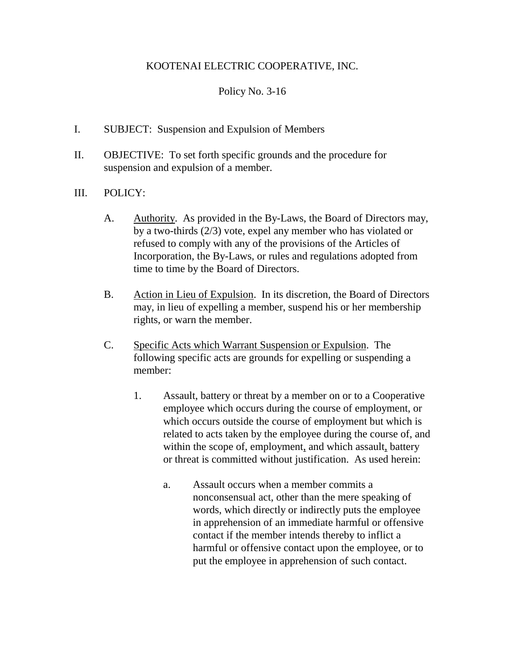## KOOTENAI ELECTRIC COOPERATIVE, INC.

## Policy No. 3-16

- I. SUBJECT: Suspension and Expulsion of Members
- II. OBJECTIVE: To set forth specific grounds and the procedure for suspension and expulsion of a member.
- III. POLICY:
	- A. Authority. As provided in the By-Laws, the Board of Directors may, by a two-thirds (2/3) vote, expel any member who has violated or refused to comply with any of the provisions of the Articles of Incorporation, the By-Laws, or rules and regulations adopted from time to time by the Board of Directors.
	- B. Action in Lieu of Expulsion. In its discretion, the Board of Directors may, in lieu of expelling a member, suspend his or her membership rights, or warn the member.
	- C. Specific Acts which Warrant Suspension or Expulsion. The following specific acts are grounds for expelling or suspending a member:
		- 1. Assault, battery or threat by a member on or to a Cooperative employee which occurs during the course of employment, or which occurs outside the course of employment but which is related to acts taken by the employee during the course of, and within the scope of, employment, and which assault, battery or threat is committed without justification. As used herein:
			- a. Assault occurs when a member commits a nonconsensual act, other than the mere speaking of words, which directly or indirectly puts the employee in apprehension of an immediate harmful or offensive contact if the member intends thereby to inflict a harmful or offensive contact upon the employee, or to put the employee in apprehension of such contact.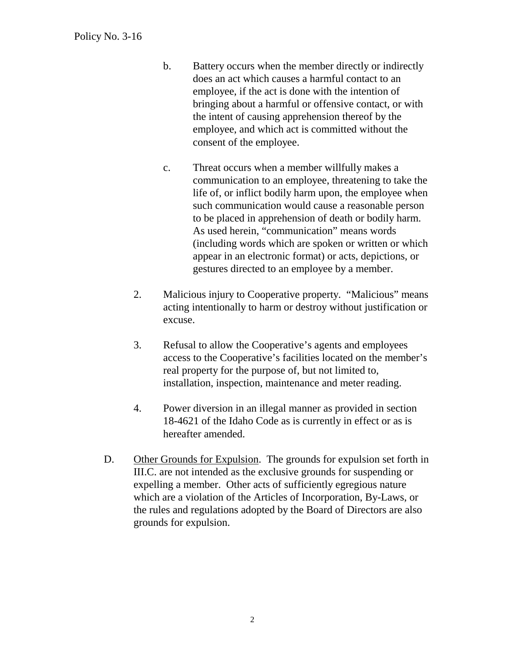- b. Battery occurs when the member directly or indirectly does an act which causes a harmful contact to an employee, if the act is done with the intention of bringing about a harmful or offensive contact, or with the intent of causing apprehension thereof by the employee, and which act is committed without the consent of the employee.
- c. Threat occurs when a member willfully makes a communication to an employee, threatening to take the life of, or inflict bodily harm upon, the employee when such communication would cause a reasonable person to be placed in apprehension of death or bodily harm. As used herein, "communication" means words (including words which are spoken or written or which appear in an electronic format) or acts, depictions, or gestures directed to an employee by a member.
- 2. Malicious injury to Cooperative property. "Malicious" means acting intentionally to harm or destroy without justification or excuse.
- 3. Refusal to allow the Cooperative's agents and employees access to the Cooperative's facilities located on the member's real property for the purpose of, but not limited to, installation, inspection, maintenance and meter reading.
- 4. Power diversion in an illegal manner as provided in section 18-4621 of the Idaho Code as is currently in effect or as is hereafter amended.
- D. Other Grounds for Expulsion. The grounds for expulsion set forth in III.C. are not intended as the exclusive grounds for suspending or expelling a member. Other acts of sufficiently egregious nature which are a violation of the Articles of Incorporation, By-Laws, or the rules and regulations adopted by the Board of Directors are also grounds for expulsion.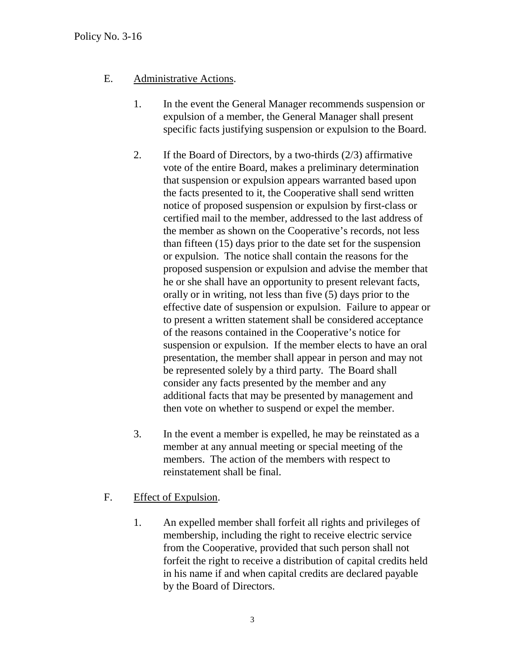## E. Administrative Actions.

- 1. In the event the General Manager recommends suspension or expulsion of a member, the General Manager shall present specific facts justifying suspension or expulsion to the Board.
- 2. If the Board of Directors, by a two-thirds (2/3) affirmative vote of the entire Board, makes a preliminary determination that suspension or expulsion appears warranted based upon the facts presented to it, the Cooperative shall send written notice of proposed suspension or expulsion by first-class or certified mail to the member, addressed to the last address of the member as shown on the Cooperative's records, not less than fifteen (15) days prior to the date set for the suspension or expulsion. The notice shall contain the reasons for the proposed suspension or expulsion and advise the member that he or she shall have an opportunity to present relevant facts, orally or in writing, not less than five (5) days prior to the effective date of suspension or expulsion. Failure to appear or to present a written statement shall be considered acceptance of the reasons contained in the Cooperative's notice for suspension or expulsion. If the member elects to have an oral presentation, the member shall appear in person and may not be represented solely by a third party. The Board shall consider any facts presented by the member and any additional facts that may be presented by management and then vote on whether to suspend or expel the member.
- 3. In the event a member is expelled, he may be reinstated as a member at any annual meeting or special meeting of the members. The action of the members with respect to reinstatement shall be final.
- F. Effect of Expulsion.
	- 1. An expelled member shall forfeit all rights and privileges of membership, including the right to receive electric service from the Cooperative, provided that such person shall not forfeit the right to receive a distribution of capital credits held in his name if and when capital credits are declared payable by the Board of Directors.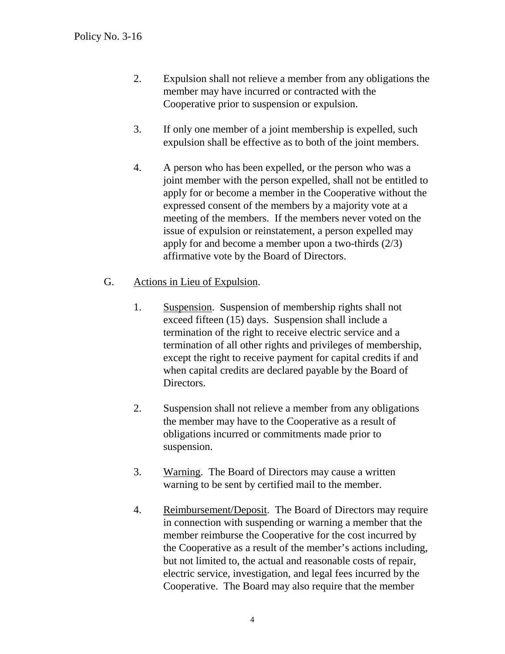- 2. Expulsion shall not relieve a member from any obligations the member may have incurred or contracted with the Cooperative prior to suspension or expulsion.
- 3. If only one member of a joint membership is expelled, such expulsion shall be effective as to both of the joint members.
- 4. A person who has been expelled, or the person who was a joint member with the person expelled, shall not be entitled to apply for or become a member in the Cooperative without the expressed consent of the members by a majority vote at a meeting of the members. If the members never voted on the issue of expulsion or reinstatement, a person expelled may apply for and become a member upon a two-thirds (2/3) affirmative vote by the Board of Directors.
- G. Actions in Lieu of Expulsion.
	- 1. Suspension. Suspension of membership rights shall not exceed fifteen (15) days. Suspension shall include a termination of the right to receive electric service and a termination of all other rights and privileges of membership, except the right to receive payment for capital credits if and when capital credits are declared payable by the Board of Directors.
	- 2. Suspension shall not relieve a member from any obligations the member may have to the Cooperative as a result of obligations incurred or commitments made prior to suspension.
	- 3. Warning. The Board of Directors may cause a written warning to be sent by certified mail to the member.
	- 4. Reimbursement/Deposit. The Board of Directors may require in connection with suspending or warning a member that the member reimburse the Cooperative for the cost incurred by the Cooperative as a result of the member's actions including, but not limited to, the actual and reasonable costs of repair, electric service, investigation, and legal fees incurred by the Cooperative. The Board may also require that the member